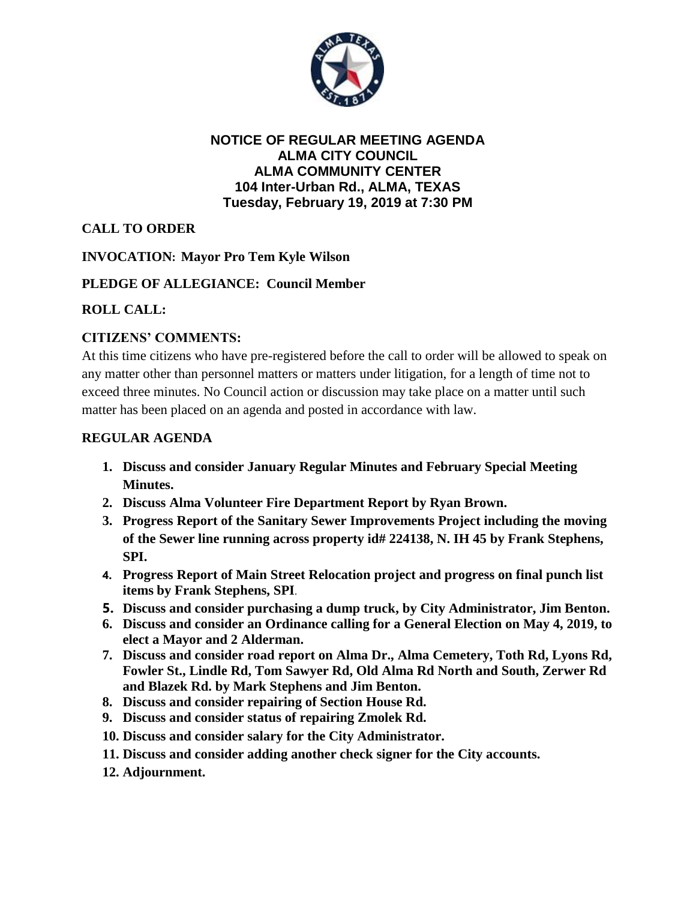

### **NOTICE OF REGULAR MEETING AGENDA ALMA CITY COUNCIL ALMA COMMUNITY CENTER 104 Inter-Urban Rd., ALMA, TEXAS Tuesday, February 19, 2019 at 7:30 PM**

# **CALL TO ORDER**

## **INVOCATION: Mayor Pro Tem Kyle Wilson**

### **PLEDGE OF ALLEGIANCE: Council Member**

### **ROLL CALL:**

### **CITIZENS' COMMENTS:**

At this time citizens who have pre-registered before the call to order will be allowed to speak on any matter other than personnel matters or matters under litigation, for a length of time not to exceed three minutes. No Council action or discussion may take place on a matter until such matter has been placed on an agenda and posted in accordance with law.

#### **REGULAR AGENDA**

- **1. Discuss and consider January Regular Minutes and February Special Meeting Minutes.**
- **2. Discuss Alma Volunteer Fire Department Report by Ryan Brown.**
- **3. Progress Report of the Sanitary Sewer Improvements Project including the moving of the Sewer line running across property id# 224138, N. IH 45 by Frank Stephens, SPI.**
- **4. Progress Report of Main Street Relocation project and progress on final punch list items by Frank Stephens, SPI**.
- **5. Discuss and consider purchasing a dump truck, by City Administrator, Jim Benton.**
- **6. Discuss and consider an Ordinance calling for a General Election on May 4, 2019, to elect a Mayor and 2 Alderman.**
- **7. Discuss and consider road report on Alma Dr., Alma Cemetery, Toth Rd, Lyons Rd, Fowler St., Lindle Rd, Tom Sawyer Rd, Old Alma Rd North and South, Zerwer Rd and Blazek Rd. by Mark Stephens and Jim Benton.**
- **8. Discuss and consider repairing of Section House Rd.**
- **9. Discuss and consider status of repairing Zmolek Rd.**
- **10. Discuss and consider salary for the City Administrator.**
- **11. Discuss and consider adding another check signer for the City accounts.**
- **12. Adjournment.**